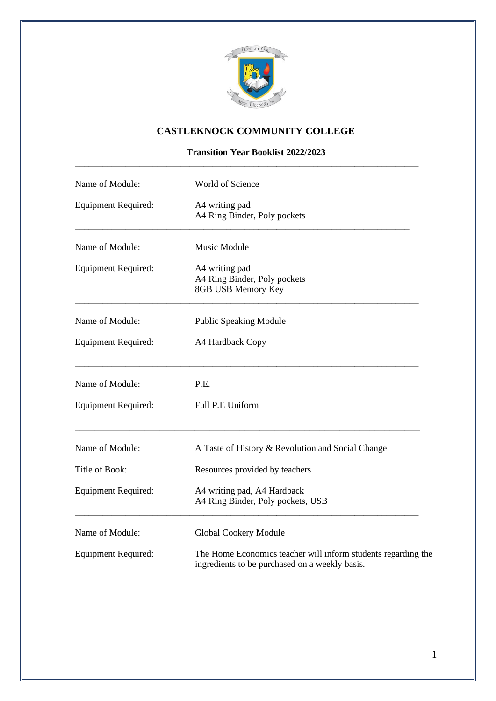

## **CASTLEKNOCK COMMUNITY COLLEGE**

**Transition Year Booklist 2022/2023**

\_\_\_\_\_\_\_\_\_\_\_\_\_\_\_\_\_\_\_\_\_\_\_\_\_\_\_\_\_\_\_\_\_\_\_\_\_\_\_\_\_\_\_\_\_\_\_\_\_\_\_\_\_\_\_\_\_\_\_\_\_\_\_\_\_\_\_\_\_\_\_\_\_\_\_

| Name of Module:            | World of Science                                                                                                |  |  |
|----------------------------|-----------------------------------------------------------------------------------------------------------------|--|--|
| <b>Equipment Required:</b> | A4 writing pad<br>A4 Ring Binder, Poly pockets                                                                  |  |  |
| Name of Module:            | Music Module                                                                                                    |  |  |
| <b>Equipment Required:</b> | A4 writing pad<br>A4 Ring Binder, Poly pockets<br>8GB USB Memory Key                                            |  |  |
| Name of Module:            | <b>Public Speaking Module</b>                                                                                   |  |  |
| <b>Equipment Required:</b> | A4 Hardback Copy                                                                                                |  |  |
| Name of Module:            | P.E.                                                                                                            |  |  |
| <b>Equipment Required:</b> | Full P.E Uniform                                                                                                |  |  |
| Name of Module:            | A Taste of History & Revolution and Social Change                                                               |  |  |
| Title of Book:             | Resources provided by teachers                                                                                  |  |  |
| <b>Equipment Required:</b> | A4 writing pad, A4 Hardback<br>A4 Ring Binder, Poly pockets, USB                                                |  |  |
| Name of Module:            | Global Cookery Module                                                                                           |  |  |
| <b>Equipment Required:</b> | The Home Economics teacher will inform students regarding the<br>ingredients to be purchased on a weekly basis. |  |  |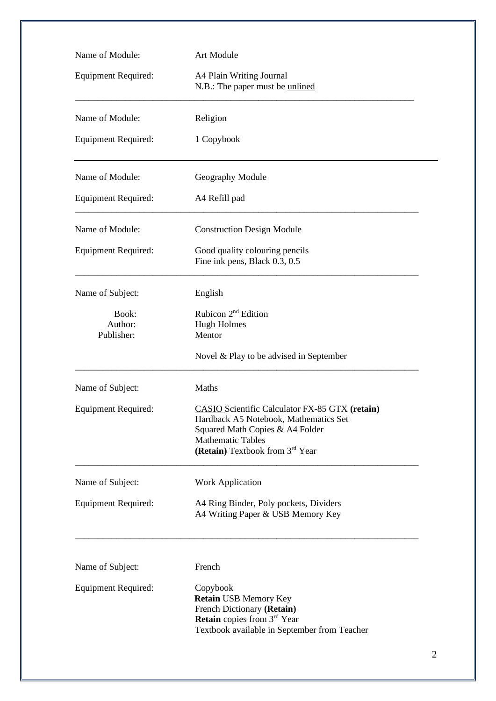| Name of Module:                | Art Module                                                                                                                                                                                       |  |  |
|--------------------------------|--------------------------------------------------------------------------------------------------------------------------------------------------------------------------------------------------|--|--|
| <b>Equipment Required:</b>     | A4 Plain Writing Journal<br>N.B.: The paper must be unlined                                                                                                                                      |  |  |
| Name of Module:                | Religion                                                                                                                                                                                         |  |  |
| <b>Equipment Required:</b>     | 1 Copybook                                                                                                                                                                                       |  |  |
| Name of Module:                | Geography Module                                                                                                                                                                                 |  |  |
| <b>Equipment Required:</b>     | A4 Refill pad                                                                                                                                                                                    |  |  |
| Name of Module:                | <b>Construction Design Module</b>                                                                                                                                                                |  |  |
| <b>Equipment Required:</b>     | Good quality colouring pencils<br>Fine ink pens, Black 0.3, 0.5                                                                                                                                  |  |  |
| Name of Subject:               | English                                                                                                                                                                                          |  |  |
| Book:<br>Author:<br>Publisher: | Rubicon 2 <sup>nd</sup> Edition<br><b>Hugh Holmes</b><br>Mentor                                                                                                                                  |  |  |
|                                | Novel & Play to be advised in September                                                                                                                                                          |  |  |
| Name of Subject:               | Maths                                                                                                                                                                                            |  |  |
| <b>Equipment Required:</b>     | <b>CASIO</b> Scientific Calculator FX-85 GTX (retain)<br>Hardback A5 Notebook, Mathematics Set<br>Squared Math Copies & A4 Folder<br><b>Mathematic Tables</b><br>(Retain) Textbook from 3rd Year |  |  |
| Name of Subject:               | <b>Work Application</b>                                                                                                                                                                          |  |  |
| <b>Equipment Required:</b>     | A4 Ring Binder, Poly pockets, Dividers<br>A4 Writing Paper & USB Memory Key                                                                                                                      |  |  |
| Name of Subject:               | French                                                                                                                                                                                           |  |  |
| <b>Equipment Required:</b>     | Copybook<br><b>Retain USB Memory Key</b><br>French Dictionary (Retain)<br><b>Retain</b> copies from 3 <sup>rd</sup> Year<br>Textbook available in September from Teacher                         |  |  |